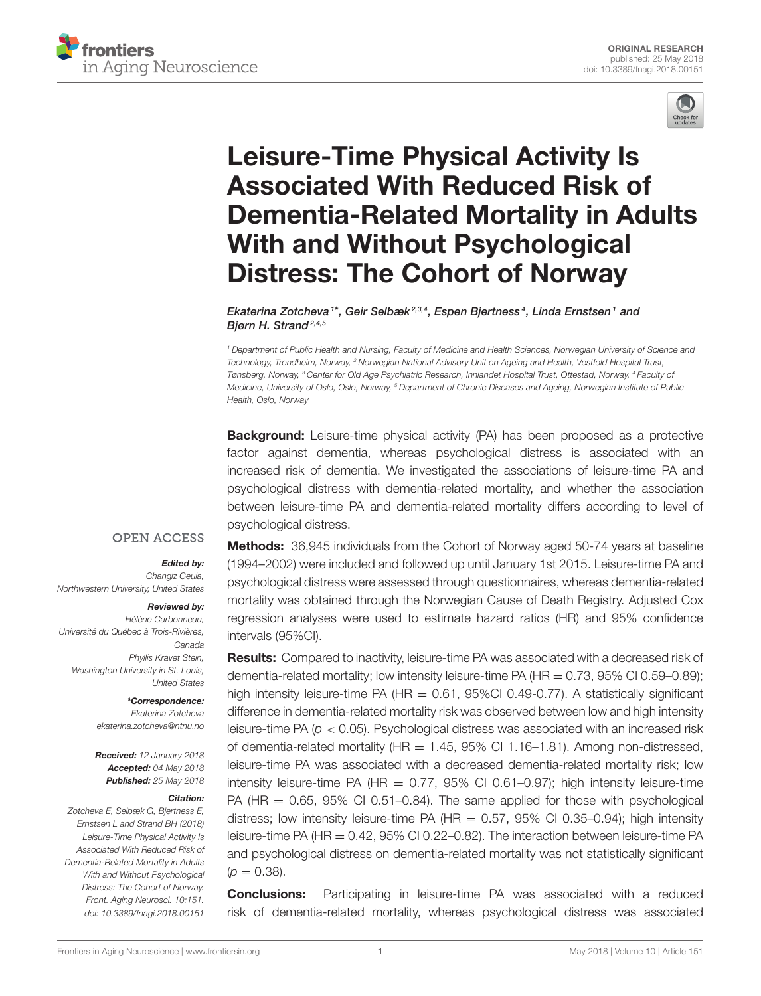



# Leisure-Time Physical Activity Is Associated With Reduced Risk of [Dementia-Related Mortality in Adults](https://www.frontiersin.org/articles/10.3389/fnagi.2018.00151/full) With and Without Psychological Distress: The Cohort of Norway

[Ekaterina Zotcheva](http://loop.frontiersin.org/people/515805/overview) 1\*, [Geir Selbæk](http://loop.frontiersin.org/people/563234/overview)<sup>2,3,4</sup>, [Espen Bjertness](http://loop.frontiersin.org/people/563202/overview)<sup>4</sup>, [Linda Ernstsen](http://loop.frontiersin.org/people/116462/overview) <sup>1</sup> and Biørn H. Strand<sup>2,4,5</sup>

<sup>1</sup> Department of Public Health and Nursing, Faculty of Medicine and Health Sciences, Norwegian University of Science and Technology, Trondheim, Norway, <sup>2</sup> Norwegian National Advisory Unit on Ageing and Health, Vestfold Hospital Trust, Tønsberg, Norway, <sup>3</sup> Center for Old Age Psychiatric Research, Innlandet Hospital Trust, Ottestad, Norway, <sup>4</sup> Faculty of Medicine, University of Oslo, Oslo, Norway, <sup>5</sup> Department of Chronic Diseases and Ageing, Norwegian Institute of Public Health, Oslo, Norway

**Background:** Leisure-time physical activity (PA) has been proposed as a protective factor against dementia, whereas psychological distress is associated with an increased risk of dementia. We investigated the associations of leisure-time PA and psychological distress with dementia-related mortality, and whether the association between leisure-time PA and dementia-related mortality differs according to level of psychological distress.

## **OPEN ACCESS**

#### Edited by:

Changiz Geula, Northwestern University, United States

#### Reviewed by:

Hélène Carbonneau, Université du Québec à Trois-Rivières, Canada Phyllis Kravet Stein, Washington University in St. Louis, United States

> \*Correspondence: Ekaterina Zotcheva [ekaterina.zotcheva@ntnu.no](mailto:ekaterina.zotcheva@ntnu.no)

Received: 12 January 2018 Accepted: 04 May 2018 Published: 25 May 2018

#### Citation:

Zotcheva E, Selbæk G, Bjertness E, Ernstsen L and Strand BH (2018) Leisure-Time Physical Activity Is Associated With Reduced Risk of Dementia-Related Mortality in Adults With and Without Psychological Distress: The Cohort of Norway. Front. Aging Neurosci. 10:151. doi: [10.3389/fnagi.2018.00151](https://doi.org/10.3389/fnagi.2018.00151) Methods: 36,945 individuals from the Cohort of Norway aged 50-74 years at baseline (1994–2002) were included and followed up until January 1st 2015. Leisure-time PA and psychological distress were assessed through questionnaires, whereas dementia-related mortality was obtained through the Norwegian Cause of Death Registry. Adjusted Cox regression analyses were used to estimate hazard ratios (HR) and 95% confidence intervals (95%CI).

**Results:** Compared to inactivity, leisure-time PA was associated with a decreased risk of dementia-related mortality; low intensity leisure-time PA ( $HR = 0.73$ , 95% CI 0.59–0.89); high intensity leisure-time PA (HR  $=$  0.61, 95%Cl 0.49-0.77). A statistically significant difference in dementia-related mortality risk was observed between low and high intensity leisure-time PA ( $p < 0.05$ ). Psychological distress was associated with an increased risk of dementia-related mortality ( $HR = 1.45$ , 95% CI 1.16–1.81). Among non-distressed, leisure-time PA was associated with a decreased dementia-related mortality risk; low intensity leisure-time PA (HR  $= 0.77$ , 95% CI 0.61-0.97); high intensity leisure-time PA ( $HR = 0.65$ , 95% CI 0.51–0.84). The same applied for those with psychological distress; low intensity leisure-time PA (HR =  $0.57$ , 95% CI 0.35-0.94); high intensity leisure-time PA (HR = 0.42, 95% CI 0.22–0.82). The interaction between leisure-time PA and psychological distress on dementia-related mortality was not statistically significant  $(p = 0.38)$ .

**Conclusions:** Participating in leisure-time PA was associated with a reduced risk of dementia-related mortality, whereas psychological distress was associated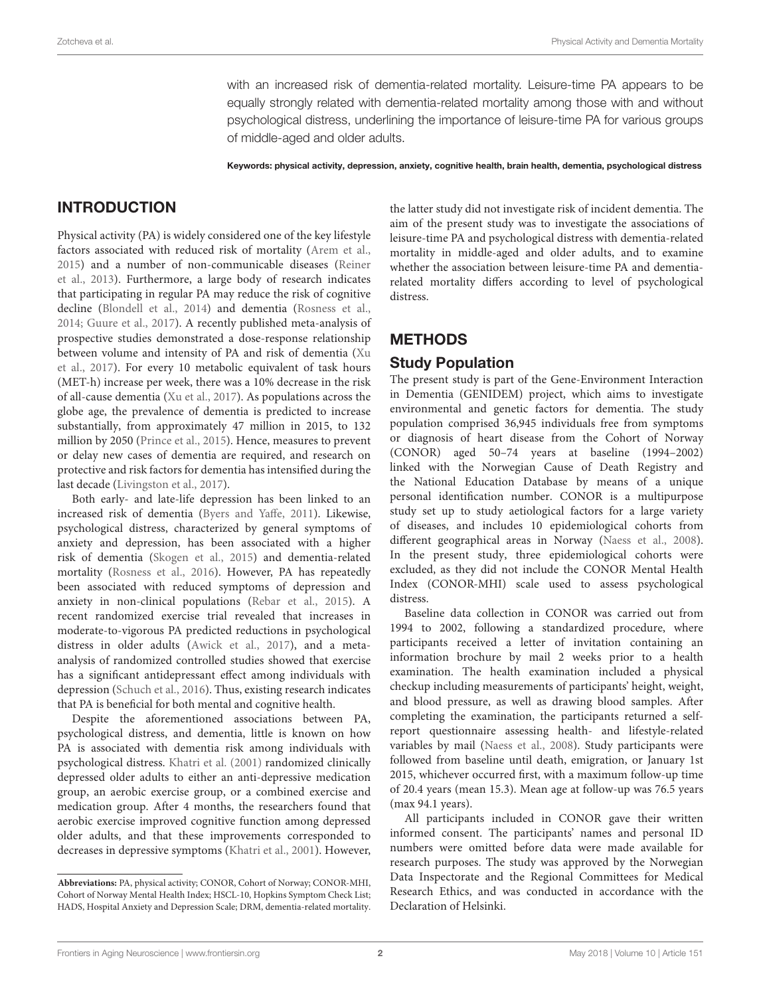with an increased risk of dementia-related mortality. Leisure-time PA appears to be equally strongly related with dementia-related mortality among those with and without psychological distress, underlining the importance of leisure-time PA for various groups of middle-aged and older adults.

Keywords: physical activity, depression, anxiety, cognitive health, brain health, dementia, psychological distress

# INTRODUCTION

Physical activity (PA) is widely considered one of the key lifestyle factors associated with reduced risk of mortality [\(Arem et al.,](#page-6-0) [2015\)](#page-6-0) and a number of non-communicable diseases (Reiner et al., [2013\)](#page-6-1). Furthermore, a large body of research indicates that participating in regular PA may reduce the risk of cognitive decline [\(Blondell et al., 2014\)](#page-6-2) and dementia [\(Rosness et al.,](#page-6-3) [2014;](#page-6-3) [Guure et al., 2017\)](#page-6-4). A recently published meta-analysis of prospective studies demonstrated a dose-response relationship between volume and intensity of PA and risk of dementia (Xu et al., [2017\)](#page-6-5). For every 10 metabolic equivalent of task hours (MET-h) increase per week, there was a 10% decrease in the risk of all-cause dementia [\(Xu et al., 2017\)](#page-6-5). As populations across the globe age, the prevalence of dementia is predicted to increase substantially, from approximately 47 million in 2015, to 132 million by 2050 [\(Prince et al., 2015\)](#page-6-6). Hence, measures to prevent or delay new cases of dementia are required, and research on protective and risk factors for dementia has intensified during the last decade [\(Livingston et al., 2017\)](#page-6-7).

Both early- and late-life depression has been linked to an increased risk of dementia [\(Byers and Yaffe, 2011\)](#page-6-8). Likewise, psychological distress, characterized by general symptoms of anxiety and depression, has been associated with a higher risk of dementia [\(Skogen et al., 2015\)](#page-6-9) and dementia-related mortality [\(Rosness et al., 2016\)](#page-6-10). However, PA has repeatedly been associated with reduced symptoms of depression and anxiety in non-clinical populations [\(Rebar et al., 2015\)](#page-6-11). A recent randomized exercise trial revealed that increases in moderate-to-vigorous PA predicted reductions in psychological distress in older adults [\(Awick et al., 2017\)](#page-6-12), and a metaanalysis of randomized controlled studies showed that exercise has a significant antidepressant effect among individuals with depression [\(Schuch et al., 2016\)](#page-6-13). Thus, existing research indicates that PA is beneficial for both mental and cognitive health.

Despite the aforementioned associations between PA, psychological distress, and dementia, little is known on how PA is associated with dementia risk among individuals with psychological distress. [Khatri et al. \(2001\)](#page-6-14) randomized clinically depressed older adults to either an anti-depressive medication group, an aerobic exercise group, or a combined exercise and medication group. After 4 months, the researchers found that aerobic exercise improved cognitive function among depressed older adults, and that these improvements corresponded to decreases in depressive symptoms [\(Khatri et al., 2001\)](#page-6-14). However, the latter study did not investigate risk of incident dementia. The aim of the present study was to investigate the associations of leisure-time PA and psychological distress with dementia-related mortality in middle-aged and older adults, and to examine whether the association between leisure-time PA and dementiarelated mortality differs according to level of psychological distress.

# METHODS

#### Study Population

The present study is part of the Gene-Environment Interaction in Dementia (GENIDEM) project, which aims to investigate environmental and genetic factors for dementia. The study population comprised 36,945 individuals free from symptoms or diagnosis of heart disease from the Cohort of Norway (CONOR) aged 50–74 years at baseline (1994–2002) linked with the Norwegian Cause of Death Registry and the National Education Database by means of a unique personal identification number. CONOR is a multipurpose study set up to study aetiological factors for a large variety of diseases, and includes 10 epidemiological cohorts from different geographical areas in Norway [\(Naess et al., 2008\)](#page-6-15). In the present study, three epidemiological cohorts were excluded, as they did not include the CONOR Mental Health Index (CONOR-MHI) scale used to assess psychological distress.

Baseline data collection in CONOR was carried out from 1994 to 2002, following a standardized procedure, where participants received a letter of invitation containing an information brochure by mail 2 weeks prior to a health examination. The health examination included a physical checkup including measurements of participants' height, weight, and blood pressure, as well as drawing blood samples. After completing the examination, the participants returned a selfreport questionnaire assessing health- and lifestyle-related variables by mail [\(Naess et al., 2008\)](#page-6-15). Study participants were followed from baseline until death, emigration, or January 1st 2015, whichever occurred first, with a maximum follow-up time of 20.4 years (mean 15.3). Mean age at follow-up was 76.5 years (max 94.1 years).

All participants included in CONOR gave their written informed consent. The participants' names and personal ID numbers were omitted before data were made available for research purposes. The study was approved by the Norwegian Data Inspectorate and the Regional Committees for Medical Research Ethics, and was conducted in accordance with the Declaration of Helsinki.

**Abbreviations:** PA, physical activity; CONOR, Cohort of Norway; CONOR-MHI, Cohort of Norway Mental Health Index; HSCL-10, Hopkins Symptom Check List; HADS, Hospital Anxiety and Depression Scale; DRM, dementia-related mortality.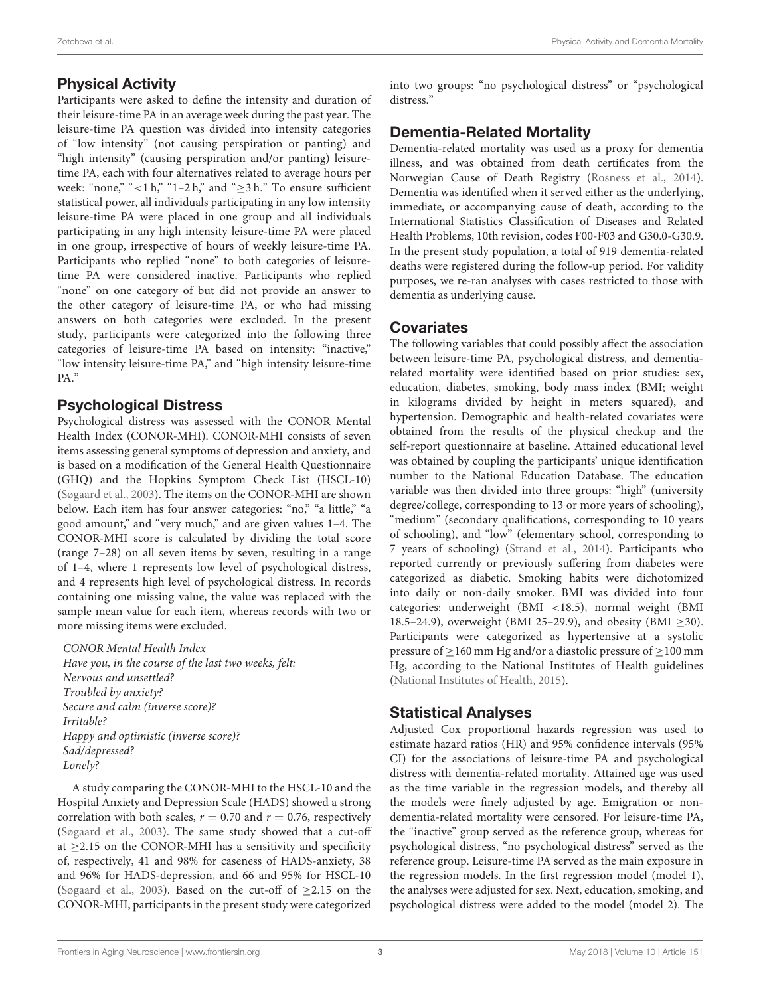# Physical Activity

Participants were asked to define the intensity and duration of their leisure-time PA in an average week during the past year. The leisure-time PA question was divided into intensity categories of "low intensity" (not causing perspiration or panting) and "high intensity" (causing perspiration and/or panting) leisuretime PA, each with four alternatives related to average hours per week: "none," "<1 h," "1–2 h," and " $\geq$ 3 h." To ensure sufficient statistical power, all individuals participating in any low intensity leisure-time PA were placed in one group and all individuals participating in any high intensity leisure-time PA were placed in one group, irrespective of hours of weekly leisure-time PA. Participants who replied "none" to both categories of leisuretime PA were considered inactive. Participants who replied "none" on one category of but did not provide an answer to the other category of leisure-time PA, or who had missing answers on both categories were excluded. In the present study, participants were categorized into the following three categories of leisure-time PA based on intensity: "inactive," "low intensity leisure-time PA," and "high intensity leisure-time PA."

## Psychological Distress

Psychological distress was assessed with the CONOR Mental Health Index (CONOR-MHI). CONOR-MHI consists of seven items assessing general symptoms of depression and anxiety, and is based on a modification of the General Health Questionnaire (GHQ) and the Hopkins Symptom Check List (HSCL-10) [\(Søgaard et al., 2003\)](#page-6-16). The items on the CONOR-MHI are shown below. Each item has four answer categories: "no," "a little," "a good amount," and "very much," and are given values 1–4. The CONOR-MHI score is calculated by dividing the total score (range 7–28) on all seven items by seven, resulting in a range of 1–4, where 1 represents low level of psychological distress, and 4 represents high level of psychological distress. In records containing one missing value, the value was replaced with the sample mean value for each item, whereas records with two or more missing items were excluded.

CONOR Mental Health Index Have you, in the course of the last two weeks, felt: Nervous and unsettled? Troubled by anxiety? Secure and calm (inverse score)? Irritable? Happy and optimistic (inverse score)? Sad/depressed? Lonely?

A study comparing the CONOR-MHI to the HSCL-10 and the Hospital Anxiety and Depression Scale (HADS) showed a strong correlation with both scales,  $r = 0.70$  and  $r = 0.76$ , respectively [\(Søgaard et al., 2003\)](#page-6-16). The same study showed that a cut-off at  $\geq$ 2.15 on the CONOR-MHI has a sensitivity and specificity of, respectively, 41 and 98% for caseness of HADS-anxiety, 38 and 96% for HADS-depression, and 66 and 95% for HSCL-10 [\(Søgaard et al., 2003\)](#page-6-16). Based on the cut-off of  $\geq$ 2.15 on the CONOR-MHI, participants in the present study were categorized into two groups: "no psychological distress" or "psychological distress."

# Dementia-Related Mortality

Dementia-related mortality was used as a proxy for dementia illness, and was obtained from death certificates from the Norwegian Cause of Death Registry [\(Rosness et al., 2014\)](#page-6-3). Dementia was identified when it served either as the underlying, immediate, or accompanying cause of death, according to the International Statistics Classification of Diseases and Related Health Problems, 10th revision, codes F00-F03 and G30.0-G30.9. In the present study population, a total of 919 dementia-related deaths were registered during the follow-up period. For validity purposes, we re-ran analyses with cases restricted to those with dementia as underlying cause.

## Covariates

The following variables that could possibly affect the association between leisure-time PA, psychological distress, and dementiarelated mortality were identified based on prior studies: sex, education, diabetes, smoking, body mass index (BMI; weight in kilograms divided by height in meters squared), and hypertension. Demographic and health-related covariates were obtained from the results of the physical checkup and the self-report questionnaire at baseline. Attained educational level was obtained by coupling the participants' unique identification number to the National Education Database. The education variable was then divided into three groups: "high" (university degree/college, corresponding to 13 or more years of schooling), "medium" (secondary qualifications, corresponding to 10 years of schooling), and "low" (elementary school, corresponding to 7 years of schooling) [\(Strand et al., 2014\)](#page-6-17). Participants who reported currently or previously suffering from diabetes were categorized as diabetic. Smoking habits were dichotomized into daily or non-daily smoker. BMI was divided into four categories: underweight (BMI <18.5), normal weight (BMI 18.5–24.9), overweight (BMI 25–29.9), and obesity (BMI  $\geq$ 30). Participants were categorized as hypertensive at a systolic pressure of ≥160 mm Hg and/or a diastolic pressure of ≥100 mm Hg, according to the National Institutes of Health guidelines [\(National Institutes of Health, 2015\)](#page-6-18).

## Statistical Analyses

Adjusted Cox proportional hazards regression was used to estimate hazard ratios (HR) and 95% confidence intervals (95% CI) for the associations of leisure-time PA and psychological distress with dementia-related mortality. Attained age was used as the time variable in the regression models, and thereby all the models were finely adjusted by age. Emigration or nondementia-related mortality were censored. For leisure-time PA, the "inactive" group served as the reference group, whereas for psychological distress, "no psychological distress" served as the reference group. Leisure-time PA served as the main exposure in the regression models. In the first regression model (model 1), the analyses were adjusted for sex. Next, education, smoking, and psychological distress were added to the model (model 2). The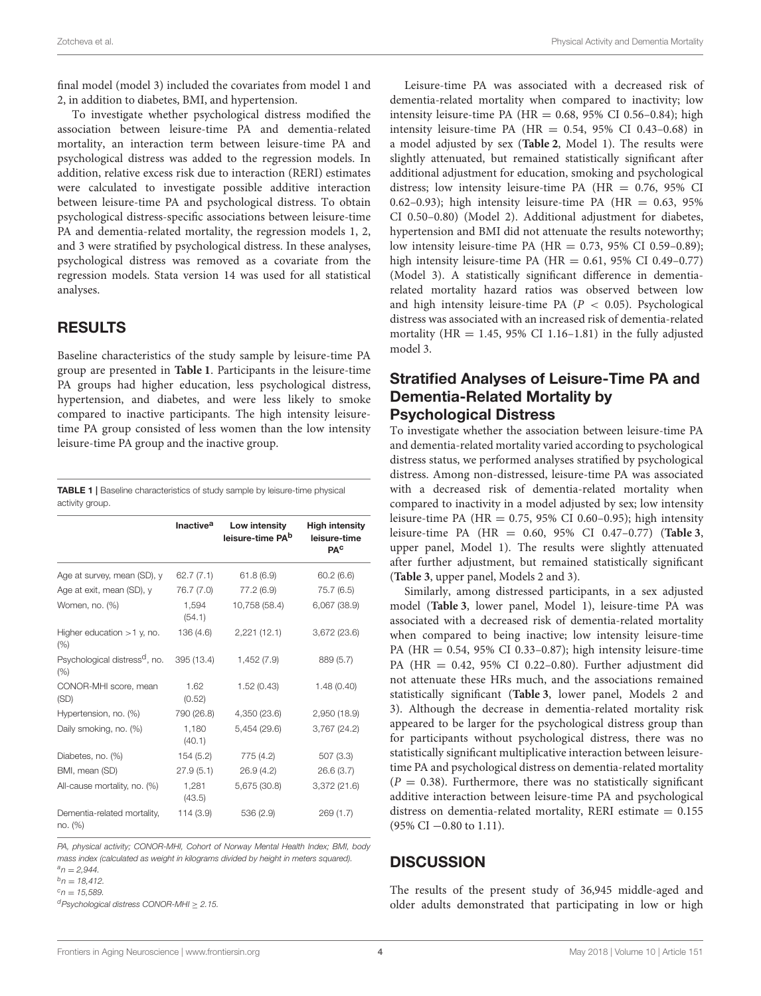final model (model 3) included the covariates from model 1 and 2, in addition to diabetes, BMI, and hypertension.

To investigate whether psychological distress modified the association between leisure-time PA and dementia-related mortality, an interaction term between leisure-time PA and psychological distress was added to the regression models. In addition, relative excess risk due to interaction (RERI) estimates were calculated to investigate possible additive interaction between leisure-time PA and psychological distress. To obtain psychological distress-specific associations between leisure-time PA and dementia-related mortality, the regression models 1, 2, and 3 were stratified by psychological distress. In these analyses, psychological distress was removed as a covariate from the regression models. Stata version 14 was used for all statistical analyses.

#### RESULTS

Baseline characteristics of the study sample by leisure-time PA group are presented in **[Table 1](#page-3-0)**. Participants in the leisure-time PA groups had higher education, less psychological distress, hypertension, and diabetes, and were less likely to smoke compared to inactive participants. The high intensity leisuretime PA group consisted of less women than the low intensity leisure-time PA group and the inactive group.

<span id="page-3-0"></span>TABLE 1 | Baseline characteristics of study sample by leisure-time physical activity group.

|                                                   | <b>Inactive<sup>a</sup></b> | Low intensity<br>leisure-time PA <sup>b</sup> | <b>High intensity</b><br>leisure-time<br><b>PAC</b> |
|---------------------------------------------------|-----------------------------|-----------------------------------------------|-----------------------------------------------------|
| Age at survey, mean (SD), y                       | 62.7(7.1)                   | 61.8 (6.9)                                    | 60.2(6.6)                                           |
| Age at exit, mean (SD), y                         | 76.7 (7.0)                  | 77.2 (6.9)                                    | 75.7 (6.5)                                          |
| Women, no. (%)                                    | 1,594<br>(54.1)             | 10,758 (58.4)                                 | 6,067 (38.9)                                        |
| Higher education $>1$ y, no.<br>(%)               | 136 (4.6)                   | 2,221(12.1)                                   | 3,672(23.6)                                         |
| Psychological distress <sup>d</sup> , no.<br>(% ) | 395 (13.4)                  | 1,452 (7.9)                                   | 889 (5.7)                                           |
| CONOR-MHI score, mean<br>(SD)                     | 1.62<br>(0.52)              | 1.52(0.43)                                    | 1.48(0.40)                                          |
| Hypertension, no. (%)                             | 790 (26.8)                  | 4,350 (23.6)                                  | 2,950 (18.9)                                        |
| Daily smoking, no. (%)                            | 1,180<br>(40.1)             | 5,454 (29.6)                                  | 3,767(24.2)                                         |
| Diabetes, no. (%)                                 | 154(5.2)                    | 775 (4.2)                                     | 507 (3.3)                                           |
| BMI, mean (SD)                                    | 27.9(5.1)                   | 26.9(4.2)                                     | 26.6(3.7)                                           |
| All-cause mortality, no. (%)                      | 1,281<br>(43.5)             | 5,675 (30.8)                                  | 3,372 (21.6)                                        |
| Dementia-related mortality,<br>no. (%)            | 114 (3.9)                   | 536 (2.9)                                     | 269(1.7)                                            |

PA, physical activity; CONOR-MHI, Cohort of Norway Mental Health Index; BMI, body mass index (calculated as weight in kilograms divided by height in meters squared).  $a_n = 2.944$ .

 $b_n = 18.412$ .

 $c_n = 15.589$ .

 ${}^{d}$ Psychological distress CONOR-MHI > 2.15.

Leisure-time PA was associated with a decreased risk of dementia-related mortality when compared to inactivity; low intensity leisure-time PA ( $HR = 0.68$ , 95% CI 0.56-0.84); high intensity leisure-time PA (HR =  $0.54$ , 95% CI 0.43-0.68) in a model adjusted by sex (**[Table 2](#page-4-0)**, Model 1). The results were slightly attenuated, but remained statistically significant after additional adjustment for education, smoking and psychological distress; low intensity leisure-time PA ( $HR = 0.76$ , 95% CI 0.62–0.93); high intensity leisure-time PA (HR =  $0.63$ , 95%) CI 0.50–0.80) (Model 2). Additional adjustment for diabetes, hypertension and BMI did not attenuate the results noteworthy; low intensity leisure-time PA (HR =  $0.73$ , 95% CI 0.59-0.89); high intensity leisure-time PA (HR =  $0.61$ , 95% CI 0.49-0.77) (Model 3). A statistically significant difference in dementiarelated mortality hazard ratios was observed between low and high intensity leisure-time PA ( $P < 0.05$ ). Psychological distress was associated with an increased risk of dementia-related mortality (HR =  $1.45$ , 95% CI 1.16-1.81) in the fully adjusted model 3.

## Stratified Analyses of Leisure-Time PA and Dementia-Related Mortality by Psychological Distress

To investigate whether the association between leisure-time PA and dementia-related mortality varied according to psychological distress status, we performed analyses stratified by psychological distress. Among non-distressed, leisure-time PA was associated with a decreased risk of dementia-related mortality when compared to inactivity in a model adjusted by sex; low intensity leisure-time PA (HR =  $0.75$ , 95% CI 0.60-0.95); high intensity leisure-time PA (HR = 0.60, 95% CI 0.47–0.77) (**[Table 3](#page-4-1)**, upper panel, Model 1). The results were slightly attenuated after further adjustment, but remained statistically significant (**[Table 3](#page-4-1)**, upper panel, Models 2 and 3).

Similarly, among distressed participants, in a sex adjusted model (**[Table 3](#page-4-1)**, lower panel, Model 1), leisure-time PA was associated with a decreased risk of dementia-related mortality when compared to being inactive; low intensity leisure-time PA ( $HR = 0.54$ , 95% CI 0.33–0.87); high intensity leisure-time PA (HR = 0.42, 95% CI 0.22–0.80). Further adjustment did not attenuate these HRs much, and the associations remained statistically significant (**[Table 3](#page-4-1)**, lower panel, Models 2 and 3). Although the decrease in dementia-related mortality risk appeared to be larger for the psychological distress group than for participants without psychological distress, there was no statistically significant multiplicative interaction between leisuretime PA and psychological distress on dementia-related mortality  $(P = 0.38)$ . Furthermore, there was no statistically significant additive interaction between leisure-time PA and psychological distress on dementia-related mortality, RERI estimate  $= 0.155$ (95% CI −0.80 to 1.11).

#### **DISCUSSION**

The results of the present study of 36,945 middle-aged and older adults demonstrated that participating in low or high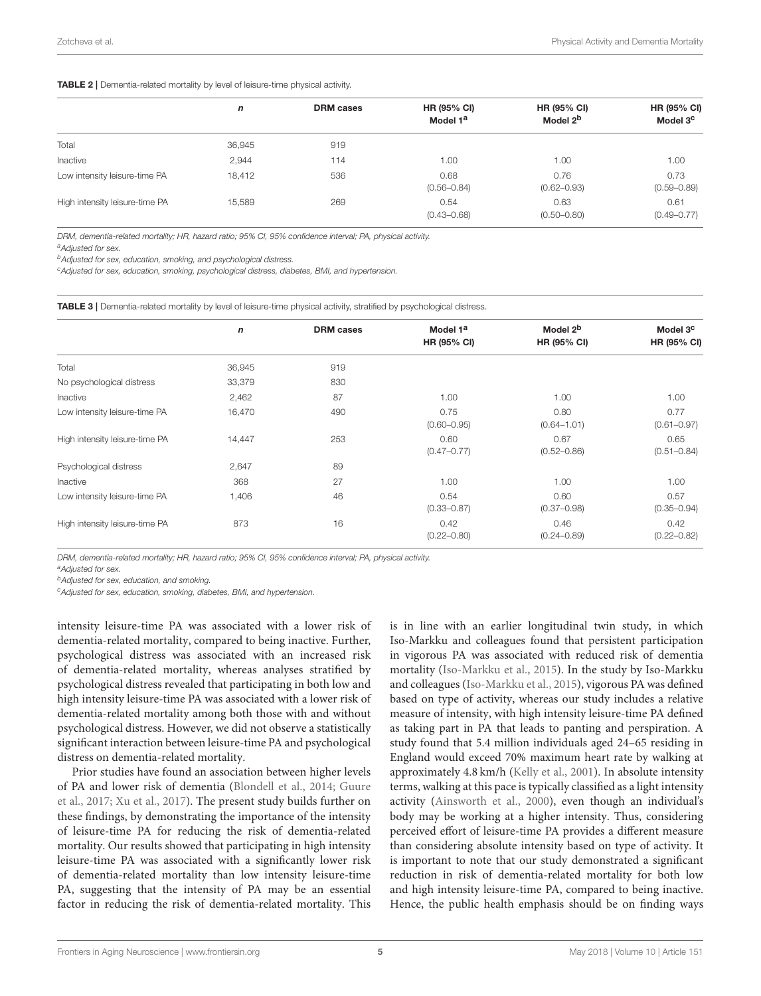#### <span id="page-4-0"></span>TABLE 2 | Dementia-related mortality by level of leisure-time physical activity.

|                                | n      | <b>DRM</b> cases | <b>HR (95% CI)</b><br>Model 1 <sup>a</sup> | HR (95% CI)<br>Model 2 <sup>b</sup> | HR (95% CI)<br>Model 3 <sup>c</sup> |
|--------------------------------|--------|------------------|--------------------------------------------|-------------------------------------|-------------------------------------|
| Total                          | 36,945 | 919              |                                            |                                     |                                     |
| Inactive                       | 2,944  | 114              | 1.00                                       | 1.00                                | 1.00                                |
| Low intensity leisure-time PA  | 18,412 | 536              | 0.68<br>$(0.56 - 0.84)$                    | 0.76<br>$(0.62 - 0.93)$             | 0.73<br>$(0.59 - 0.89)$             |
| High intensity leisure-time PA | 15,589 | 269              | 0.54<br>$(0.43 - 0.68)$                    | 0.63<br>$(0.50 - 0.80)$             | 0.61<br>$(0.49 - 0.77)$             |

DRM, dementia-related mortality; HR, hazard ratio; 95% CI, 95% confidence interval; PA, physical activity.

a Adjusted for sex.

**b**Adjusted for sex, education, smoking, and psychological distress.

<sup>c</sup>Adjusted for sex, education, smoking, psychological distress, diabetes, BMI, and hypertension.

<span id="page-4-1"></span>TABLE 3 | Dementia-related mortality by level of leisure-time physical activity, stratified by psychological distress.

|                                | $\mathbf n$ | <b>DRM</b> cases | Model 1 <sup>a</sup> | Model 2 <sup>b</sup> | Model 3 <sup>c</sup> |
|--------------------------------|-------------|------------------|----------------------|----------------------|----------------------|
|                                |             |                  | HR (95% CI)          | HR (95% CI)          | HR (95% CI)          |
| Total                          | 36,945      | 919              |                      |                      |                      |
| No psychological distress      | 33,379      | 830              |                      |                      |                      |
| Inactive                       | 2,462       | 87               | 1.00                 | 1.00                 | 1.00                 |
| Low intensity leisure-time PA  | 16,470      | 490              | 0.75                 | 0.80                 | 0.77                 |
|                                |             |                  | $(0.60 - 0.95)$      | $(0.64 - 1.01)$      | $(0.61 - 0.97)$      |
| High intensity leisure-time PA | 14,447      | 253              | 0.60                 | 0.67                 | 0.65                 |
|                                |             |                  | $(0.47 - 0.77)$      | $(0.52 - 0.86)$      | $(0.51 - 0.84)$      |
| Psychological distress         | 2,647       | 89               |                      |                      |                      |
| Inactive                       | 368         | 27               | 1.00                 | 1.00                 | 1.00                 |
| Low intensity leisure-time PA  | 1,406       | 46               | 0.54                 | 0.60                 | 0.57                 |
|                                |             |                  | $(0.33 - 0.87)$      | $(0.37 - 0.98)$      | $(0.35 - 0.94)$      |
| High intensity leisure-time PA | 873         | 16               | 0.42                 | 0.46                 | 0.42                 |
|                                |             |                  | $(0.22 - 0.80)$      | $(0.24 - 0.89)$      | $(0.22 - 0.82)$      |
|                                |             |                  |                      |                      |                      |

DRM, dementia-related mortality; HR, hazard ratio; 95% CI, 95% confidence interval; PA, physical activity.

a Adjusted for sex.

**b**Adjusted for sex, education, and smoking.

<sup>c</sup>Adjusted for sex, education, smoking, diabetes, BMI, and hypertension.

intensity leisure-time PA was associated with a lower risk of dementia-related mortality, compared to being inactive. Further, psychological distress was associated with an increased risk of dementia-related mortality, whereas analyses stratified by psychological distress revealed that participating in both low and high intensity leisure-time PA was associated with a lower risk of dementia-related mortality among both those with and without psychological distress. However, we did not observe a statistically significant interaction between leisure-time PA and psychological distress on dementia-related mortality.

Prior studies have found an association between higher levels of PA and lower risk of dementia [\(Blondell et al., 2014;](#page-6-2) Guure et al., [2017;](#page-6-4) [Xu et al., 2017\)](#page-6-5). The present study builds further on these findings, by demonstrating the importance of the intensity of leisure-time PA for reducing the risk of dementia-related mortality. Our results showed that participating in high intensity leisure-time PA was associated with a significantly lower risk of dementia-related mortality than low intensity leisure-time PA, suggesting that the intensity of PA may be an essential factor in reducing the risk of dementia-related mortality. This is in line with an earlier longitudinal twin study, in which Iso-Markku and colleagues found that persistent participation in vigorous PA was associated with reduced risk of dementia mortality [\(Iso-Markku et al., 2015\)](#page-6-19). In the study by Iso-Markku and colleagues [\(Iso-Markku et al., 2015\)](#page-6-19), vigorous PA was defined based on type of activity, whereas our study includes a relative measure of intensity, with high intensity leisure-time PA defined as taking part in PA that leads to panting and perspiration. A study found that 5.4 million individuals aged 24–65 residing in England would exceed 70% maximum heart rate by walking at approximately 4.8 km/h [\(Kelly et al., 2001\)](#page-6-20). In absolute intensity terms, walking at this pace is typically classified as a light intensity activity [\(Ainsworth et al., 2000\)](#page-6-21), even though an individual's body may be working at a higher intensity. Thus, considering perceived effort of leisure-time PA provides a different measure than considering absolute intensity based on type of activity. It is important to note that our study demonstrated a significant reduction in risk of dementia-related mortality for both low and high intensity leisure-time PA, compared to being inactive. Hence, the public health emphasis should be on finding ways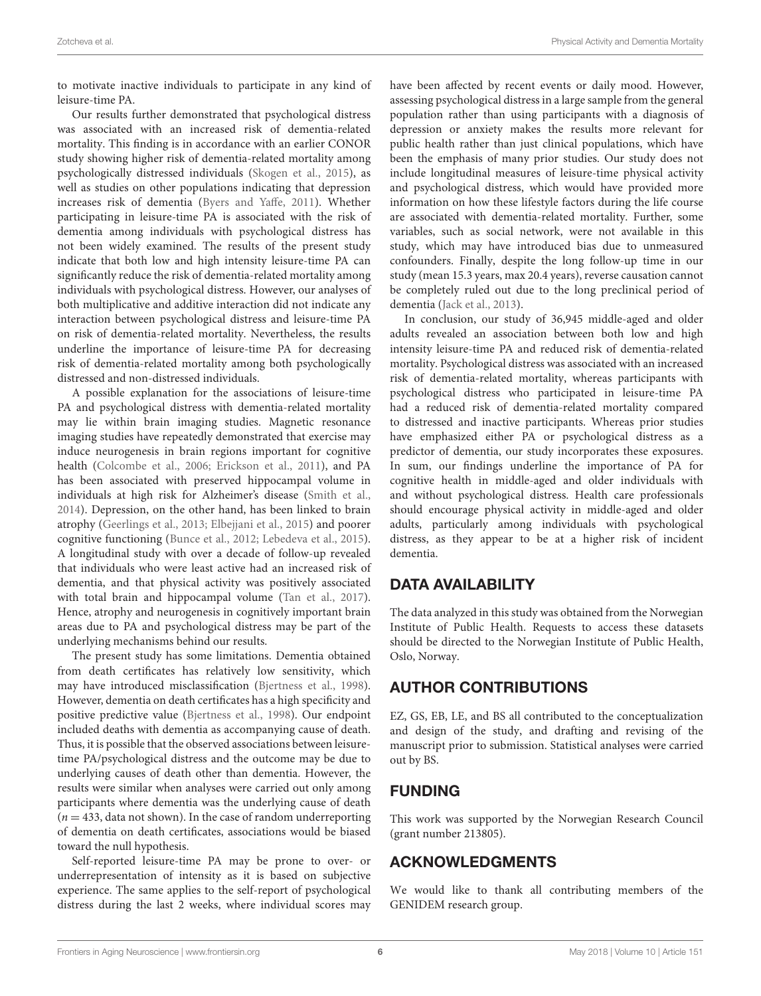to motivate inactive individuals to participate in any kind of leisure-time PA.

Our results further demonstrated that psychological distress was associated with an increased risk of dementia-related mortality. This finding is in accordance with an earlier CONOR study showing higher risk of dementia-related mortality among psychologically distressed individuals [\(Skogen et al., 2015\)](#page-6-9), as well as studies on other populations indicating that depression increases risk of dementia [\(Byers and Yaffe, 2011\)](#page-6-8). Whether participating in leisure-time PA is associated with the risk of dementia among individuals with psychological distress has not been widely examined. The results of the present study indicate that both low and high intensity leisure-time PA can significantly reduce the risk of dementia-related mortality among individuals with psychological distress. However, our analyses of both multiplicative and additive interaction did not indicate any interaction between psychological distress and leisure-time PA on risk of dementia-related mortality. Nevertheless, the results underline the importance of leisure-time PA for decreasing risk of dementia-related mortality among both psychologically distressed and non-distressed individuals.

A possible explanation for the associations of leisure-time PA and psychological distress with dementia-related mortality may lie within brain imaging studies. Magnetic resonance imaging studies have repeatedly demonstrated that exercise may induce neurogenesis in brain regions important for cognitive health [\(Colcombe et al., 2006;](#page-6-22) [Erickson et al., 2011\)](#page-6-23), and PA has been associated with preserved hippocampal volume in individuals at high risk for Alzheimer's disease [\(Smith et al.,](#page-6-24) [2014\)](#page-6-24). Depression, on the other hand, has been linked to brain atrophy [\(Geerlings et al., 2013;](#page-6-25) [Elbejjani et al., 2015\)](#page-6-26) and poorer cognitive functioning [\(Bunce et al., 2012;](#page-6-27) [Lebedeva et al., 2015\)](#page-6-28). A longitudinal study with over a decade of follow-up revealed that individuals who were least active had an increased risk of dementia, and that physical activity was positively associated with total brain and hippocampal volume [\(Tan et al., 2017\)](#page-6-29). Hence, atrophy and neurogenesis in cognitively important brain areas due to PA and psychological distress may be part of the underlying mechanisms behind our results.

The present study has some limitations. Dementia obtained from death certificates has relatively low sensitivity, which may have introduced misclassification [\(Bjertness et al., 1998\)](#page-6-30). However, dementia on death certificates has a high specificity and positive predictive value [\(Bjertness et al., 1998\)](#page-6-30). Our endpoint included deaths with dementia as accompanying cause of death. Thus, it is possible that the observed associations between leisuretime PA/psychological distress and the outcome may be due to underlying causes of death other than dementia. However, the results were similar when analyses were carried out only among participants where dementia was the underlying cause of death  $(n = 433, \text{ data not shown})$ . In the case of random underreporting of dementia on death certificates, associations would be biased toward the null hypothesis.

Self-reported leisure-time PA may be prone to over- or underrepresentation of intensity as it is based on subjective experience. The same applies to the self-report of psychological distress during the last 2 weeks, where individual scores may have been affected by recent events or daily mood. However, assessing psychological distress in a large sample from the general population rather than using participants with a diagnosis of depression or anxiety makes the results more relevant for public health rather than just clinical populations, which have been the emphasis of many prior studies. Our study does not include longitudinal measures of leisure-time physical activity and psychological distress, which would have provided more information on how these lifestyle factors during the life course are associated with dementia-related mortality. Further, some variables, such as social network, were not available in this study, which may have introduced bias due to unmeasured confounders. Finally, despite the long follow-up time in our study (mean 15.3 years, max 20.4 years), reverse causation cannot be completely ruled out due to the long preclinical period of dementia [\(Jack et al., 2013\)](#page-6-31).

In conclusion, our study of 36,945 middle-aged and older adults revealed an association between both low and high intensity leisure-time PA and reduced risk of dementia-related mortality. Psychological distress was associated with an increased risk of dementia-related mortality, whereas participants with psychological distress who participated in leisure-time PA had a reduced risk of dementia-related mortality compared to distressed and inactive participants. Whereas prior studies have emphasized either PA or psychological distress as a predictor of dementia, our study incorporates these exposures. In sum, our findings underline the importance of PA for cognitive health in middle-aged and older individuals with and without psychological distress. Health care professionals should encourage physical activity in middle-aged and older adults, particularly among individuals with psychological distress, as they appear to be at a higher risk of incident dementia.

# DATA AVAILABILITY

The data analyzed in this study was obtained from the Norwegian Institute of Public Health. Requests to access these datasets should be directed to the Norwegian Institute of Public Health, Oslo, Norway.

# AUTHOR CONTRIBUTIONS

EZ, GS, EB, LE, and BS all contributed to the conceptualization and design of the study, and drafting and revising of the manuscript prior to submission. Statistical analyses were carried out by BS.

# FUNDING

This work was supported by the Norwegian Research Council (grant number 213805).

# ACKNOWLEDGMENTS

We would like to thank all contributing members of the GENIDEM research group.